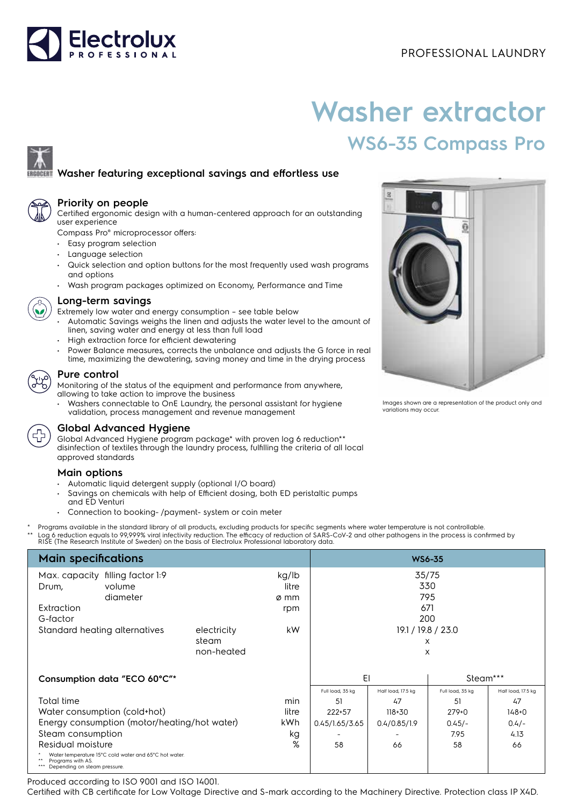

# **Washer extractor WS6-35 Compass Pro**

## **Washer featuring exceptional savings and effortless use**



#### **Priority on people**

Certified ergonomic design with a human-centered approach for an outstanding user experience

Compass Pro® microprocessor offers:

- Easy program selection
- Language selection
- Quick selection and option buttons for the most frequently used wash programs and options
- Wash program packages optimized on Economy, Performance and Time



#### **Long-term savings**

- Extremely low water and energy consumption see table below
- Automatic Savings weighs the linen and adjusts the water level to the amount of linen, saving water and energy at less than full load
- High extraction force for efficient dewatering
- Power Balance measures, corrects the unbalance and adjusts the G force in real time, maximizing the dewatering, saving money and time in the drying process

#### **Pure control**

Monitoring of the status of the equipment and performance from anywhere, allowing to take action to improve the business

• Washers connectable to OnE Laundry, the personal assistant for hygiene validation, process management and revenue management



### **Global Advanced Hygiene**

Global Advanced Hygiene program package\* with proven log 6 reduction\*\* disinfection of textiles through the laundry process, fulfilling the criteria of all local approved standards

#### **Main options**

- Automatic liquid detergent supply (optional I/O board)
- Savings on chemicals with help of Efficient dosing, both ED peristaltic pumps and ED Venturi
- Connection to booking- /payment- system or coin meter
- Programs available in the standard library of all products, excluding products for specific segments where water temperature is not controllable.
- \*\* Log 6 reduction equals to 99,999% viral infectivity reduction. The efficacy of reduction of SARS-CoV-2 and other pathogens in the process is confirmed by<br>RISE (The Research Institute of Sweden) on the basis of Electrolu

| <b>Main specifications</b>                                                                                 |          |            |                    | <b>WS6-35</b>    |                    |                  |                    |
|------------------------------------------------------------------------------------------------------------|----------|------------|--------------------|------------------|--------------------|------------------|--------------------|
| Max. capacity filling factor 1:9                                                                           |          |            | kg/lb              | 35/75            |                    |                  |                    |
| Drum,                                                                                                      | volume   |            | litre              |                  |                    | 330              |                    |
|                                                                                                            | diameter |            | ø mm               |                  |                    | 795              |                    |
| Extraction                                                                                                 |          |            | rpm                |                  | 671                |                  |                    |
| G-factor                                                                                                   |          |            |                    |                  |                    | 200              |                    |
| Standard heating alternatives<br>electricity                                                               |          | kW.        | 19.1 / 19.8 / 23.0 |                  |                    |                  |                    |
|                                                                                                            |          | steam      |                    |                  | X                  |                  |                    |
|                                                                                                            |          | non-heated |                    |                  | X                  |                  |                    |
|                                                                                                            |          |            |                    |                  |                    |                  |                    |
| Consumption data "ECO 60°C"*                                                                               |          |            |                    | EI               |                    | Steam***         |                    |
|                                                                                                            |          |            |                    | Full load, 35 kg | Half load, 17.5 kg | Full load, 35 kg | Half load, 17.5 kg |
| Total time                                                                                                 |          |            | min                | 51               | 47                 | 51               | 47                 |
| Water consumption (cold+hot)                                                                               |          |            | litre              | 222+57           | 118+30             | $279+0$          | $148 + 0$          |
| Energy consumption (motor/heating/hot water)                                                               |          |            | kWh.               | 0.45/1.65/3.65   | 0.4/0.85/1.9       | $0.45/-$         | $0.4/-$            |
| Steam consumption                                                                                          |          |            | kg                 |                  |                    | 7.95             | 4.13               |
| %<br>Residual moisture                                                                                     |          |            | 58                 | 66               | 58                 | 66               |                    |
| Water temperature 15°C cold water and 65°C hot water.<br>Programs with AS.<br>Depending on steam pressure. |          |            |                    |                  |                    |                  |                    |

Produced according to ISO 9001 and ISO 14001.

Certified with CB certificate for Low Voltage Directive and S-mark according to the Machinery Directive. Protection class IP X4D.



Images shown are a representation of the product only and variations may occur.